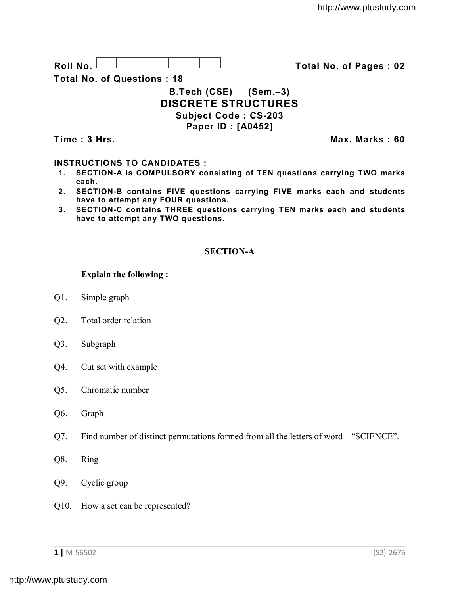

**Total No. of Questions : 18**

# **B.Tech (CSE) (Sem.–3) DISCRETE STRUCTURES Subject Code : CS-203 Paper ID : [A0452]**

**Time : 3 Hrs. Max. Marks : 60**

## **INSTRUCTIONS TO CANDIDATES :**

- **1. SECTION-A is COMPULSORY consisting of TEN questions carrying TWO marks each.**
- **2. SECTION-B contains FIVE questions carrying FIVE marks each and students have to attempt any FOUR questions.**
- **3. SECTION-C contains THREE questions carrying TEN marks each and students have to attempt any TWO questions.**

## **SECTION-A**

### **Explain the following :**

- Q1. Simple graph
- Q2. Total order relation
- Q3. Subgraph
- Q4. Cut set with example
- Q5. Chromatic number
- Q6. Graph
- Q7. Find number of distinct permutations formed from all the letters of word "SCIENCE".
- Q8. Ring
- Q9. Cyclic group
- Q10. How a set can be represented?